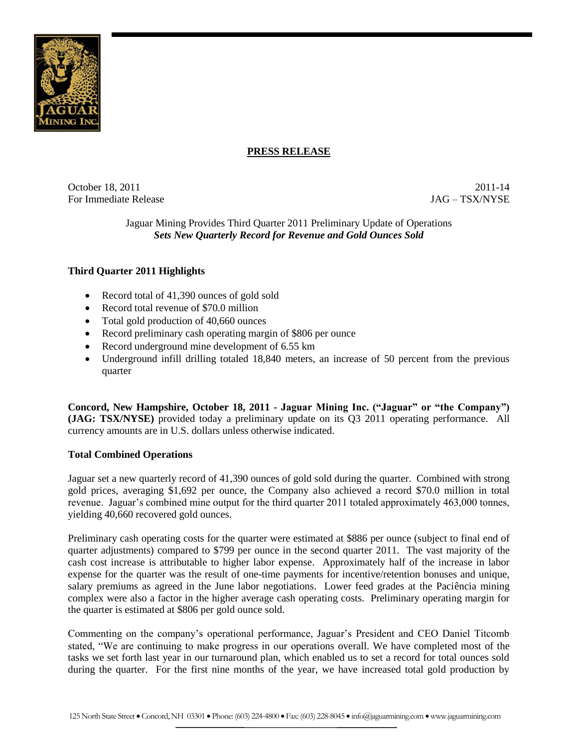

# **PRESS RELEASE**

October 18, 2011 2011-14 For Immediate Release JAG – TSX/NYSE

Jaguar Mining Provides Third Quarter 2011 Preliminary Update of Operations *Sets New Quarterly Record for Revenue and Gold Ounces Sold*

# **Third Quarter 2011 Highlights**

- Record total of 41,390 ounces of gold sold
- Record total revenue of \$70.0 million
- Total gold production of 40,660 ounces
- Record preliminary cash operating margin of \$806 per ounce
- Record underground mine development of 6.55 km
- Underground infill drilling totaled 18,840 meters, an increase of 50 percent from the previous quarter

**Concord, New Hampshire, October 18, 2011 - Jaguar Mining Inc. ("Jaguar" or "the Company") (JAG: TSX/NYSE)** provided today a preliminary update on its Q3 2011 operating performance. All currency amounts are in U.S. dollars unless otherwise indicated.

### **Total Combined Operations**

Jaguar set a new quarterly record of 41,390 ounces of gold sold during the quarter. Combined with strong gold prices, averaging \$1,692 per ounce, the Company also achieved a record \$70.0 million in total revenue. Jaguar's combined mine output for the third quarter 2011 totaled approximately 463,000 tonnes, yielding 40,660 recovered gold ounces.

Preliminary cash operating costs for the quarter were estimated at \$886 per ounce (subject to final end of quarter adjustments) compared to \$799 per ounce in the second quarter 2011. The vast majority of the cash cost increase is attributable to higher labor expense. Approximately half of the increase in labor expense for the quarter was the result of one-time payments for incentive/retention bonuses and unique, salary premiums as agreed in the June labor negotiations. Lower feed grades at the Paciência mining complex were also a factor in the higher average cash operating costs. Preliminary operating margin for the quarter is estimated at \$806 per gold ounce sold.

Commenting on the company's operational performance, Jaguar's President and CEO Daniel Titcomb stated, "We are continuing to make progress in our operations overall. We have completed most of the tasks we set forth last year in our turnaround plan, which enabled us to set a record for total ounces sold during the quarter. For the first nine months of the year, we have increased total gold production by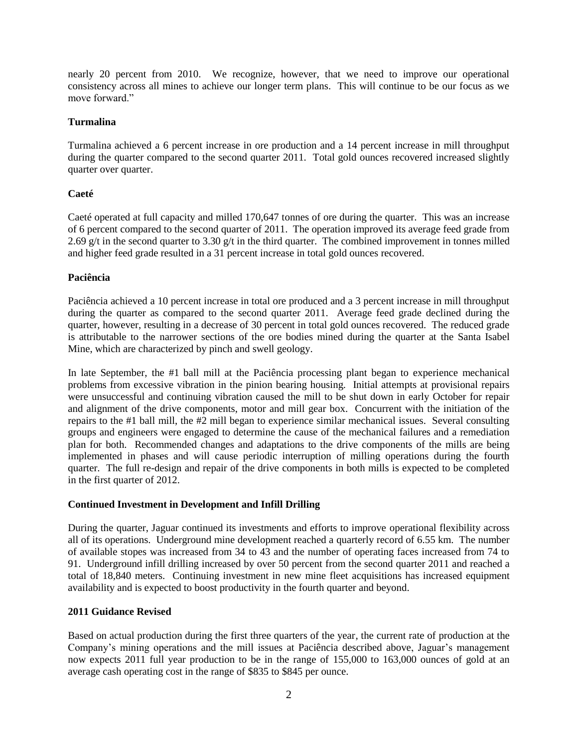nearly 20 percent from 2010. We recognize, however, that we need to improve our operational consistency across all mines to achieve our longer term plans. This will continue to be our focus as we move forward."

### **Turmalina**

Turmalina achieved a 6 percent increase in ore production and a 14 percent increase in mill throughput during the quarter compared to the second quarter 2011. Total gold ounces recovered increased slightly quarter over quarter.

# **Caeté**

Caeté operated at full capacity and milled 170,647 tonnes of ore during the quarter. This was an increase of 6 percent compared to the second quarter of 2011. The operation improved its average feed grade from 2.69 g/t in the second quarter to 3.30 g/t in the third quarter. The combined improvement in tonnes milled and higher feed grade resulted in a 31 percent increase in total gold ounces recovered.

### **Paciência**

Paciência achieved a 10 percent increase in total ore produced and a 3 percent increase in mill throughput during the quarter as compared to the second quarter 2011. Average feed grade declined during the quarter, however, resulting in a decrease of 30 percent in total gold ounces recovered. The reduced grade is attributable to the narrower sections of the ore bodies mined during the quarter at the Santa Isabel Mine, which are characterized by pinch and swell geology.

In late September, the #1 ball mill at the Paciência processing plant began to experience mechanical problems from excessive vibration in the pinion bearing housing. Initial attempts at provisional repairs were unsuccessful and continuing vibration caused the mill to be shut down in early October for repair and alignment of the drive components, motor and mill gear box. Concurrent with the initiation of the repairs to the #1 ball mill, the #2 mill began to experience similar mechanical issues. Several consulting groups and engineers were engaged to determine the cause of the mechanical failures and a remediation plan for both. Recommended changes and adaptations to the drive components of the mills are being implemented in phases and will cause periodic interruption of milling operations during the fourth quarter. The full re-design and repair of the drive components in both mills is expected to be completed in the first quarter of 2012.

### **Continued Investment in Development and Infill Drilling**

During the quarter, Jaguar continued its investments and efforts to improve operational flexibility across all of its operations. Underground mine development reached a quarterly record of 6.55 km. The number of available stopes was increased from 34 to 43 and the number of operating faces increased from 74 to 91. Underground infill drilling increased by over 50 percent from the second quarter 2011 and reached a total of 18,840 meters. Continuing investment in new mine fleet acquisitions has increased equipment availability and is expected to boost productivity in the fourth quarter and beyond.

### **2011 Guidance Revised**

Based on actual production during the first three quarters of the year, the current rate of production at the Company's mining operations and the mill issues at Paciência described above, Jaguar's management now expects 2011 full year production to be in the range of 155,000 to 163,000 ounces of gold at an average cash operating cost in the range of \$835 to \$845 per ounce.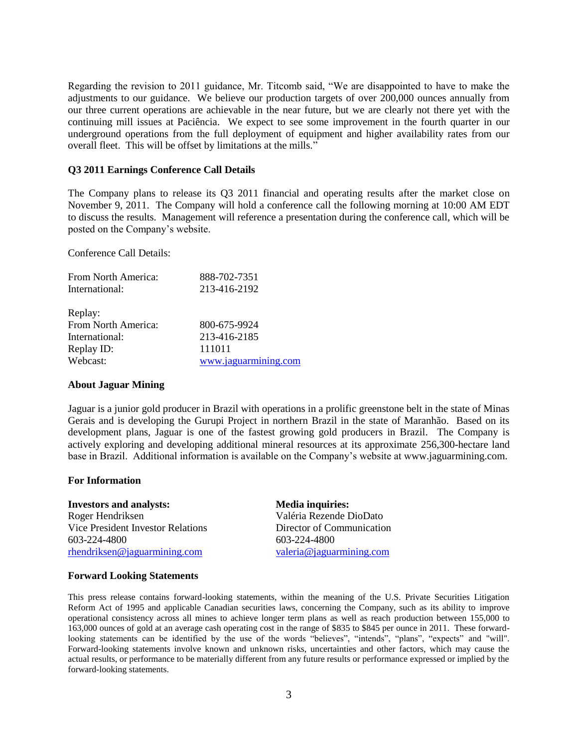Regarding the revision to 2011 guidance, Mr. Titcomb said, "We are disappointed to have to make the adjustments to our guidance. We believe our production targets of over 200,000 ounces annually from our three current operations are achievable in the near future, but we are clearly not there yet with the continuing mill issues at Paciência. We expect to see some improvement in the fourth quarter in our underground operations from the full deployment of equipment and higher availability rates from our overall fleet. This will be offset by limitations at the mills."

#### **Q3 2011 Earnings Conference Call Details**

The Company plans to release its Q3 2011 financial and operating results after the market close on November 9, 2011. The Company will hold a conference call the following morning at 10:00 AM EDT to discuss the results. Management will reference a presentation during the conference call, which will be posted on the Company's website.

Conference Call Details:

| From North America: | 888-702-7351         |
|---------------------|----------------------|
| International:      | 213-416-2192         |
|                     |                      |
| Replay:             |                      |
| From North America: | 800-675-9924         |
| International:      | 213-416-2185         |
| Replay ID:          | 111011               |
| Webcast:            | www.jaguarmining.com |
|                     |                      |

#### **About Jaguar Mining**

Jaguar is a junior gold producer in Brazil with operations in a prolific greenstone belt in the state of Minas Gerais and is developing the Gurupi Project in northern Brazil in the state of Maranhão. Based on its development plans, Jaguar is one of the fastest growing gold producers in Brazil. The Company is actively exploring and developing additional mineral resources at its approximate 256,300-hectare land base in Brazil. Additional information is available on the Company's website at www.jaguarmining.com.

#### **For Information**

**Investors and analysts: Media inquiries:** Roger Hendriksen Vice President Investor Relations 603-224-4800 [rhendriksen@jaguarmining.com](mailto:rhendriksen@jaguarmining.com)

Valéria Rezende DioDato Director of Communication 603-224-4800 [valeria@jaguarmining.com](mailto:valeria@jaguarmining.com)

#### **Forward Looking Statements**

This press release contains forward-looking statements, within the meaning of the U.S. Private Securities Litigation Reform Act of 1995 and applicable Canadian securities laws, concerning the Company, such as its ability to improve operational consistency across all mines to achieve longer term plans as well as reach production between 155,000 to 163,000 ounces of gold at an average cash operating cost in the range of \$835 to \$845 per ounce in 2011. These forwardlooking statements can be identified by the use of the words "believes", "intends", "plans", "expects" and "will". Forward-looking statements involve known and unknown risks, uncertainties and other factors, which may cause the actual results, or performance to be materially different from any future results or performance expressed or implied by the forward-looking statements.